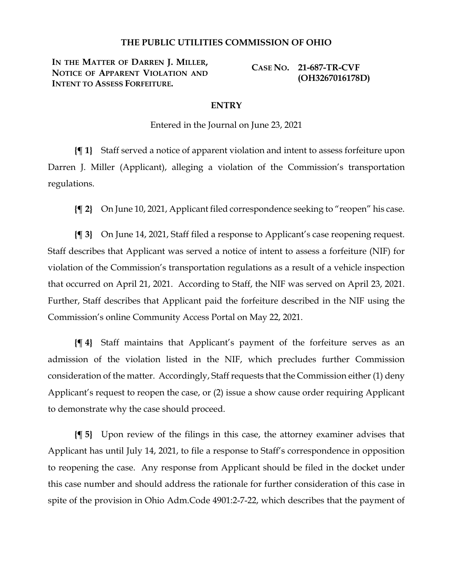## **THE PUBLIC UTILITIES COMMISSION OF OHIO**

**IN THE MATTER OF DARREN J. MILLER, NOTICE OF APPARENT VIOLATION AND INTENT TO ASSESS FORFEITURE.**

**CASE NO. 21-687-TR-CVF (OH3267016178D)**

## **ENTRY**

Entered in the Journal on June 23, 2021

**{¶ 1}** Staff served a notice of apparent violation and intent to assess forfeiture upon Darren J. Miller (Applicant), alleging a violation of the Commission's transportation regulations.

**{¶ 2}** On June 10, 2021, Applicant filed correspondence seeking to "reopen" his case.

**{¶ 3}** On June 14, 2021, Staff filed a response to Applicant's case reopening request. Staff describes that Applicant was served a notice of intent to assess a forfeiture (NIF) for violation of the Commission's transportation regulations as a result of a vehicle inspection that occurred on April 21, 2021. According to Staff, the NIF was served on April 23, 2021. Further, Staff describes that Applicant paid the forfeiture described in the NIF using the Commission's online Community Access Portal on May 22, 2021.

**{¶ 4}** Staff maintains that Applicant's payment of the forfeiture serves as an admission of the violation listed in the NIF, which precludes further Commission consideration of the matter. Accordingly, Staff requests that the Commission either (1) deny Applicant's request to reopen the case, or (2) issue a show cause order requiring Applicant to demonstrate why the case should proceed.

**{¶ 5}** Upon review of the filings in this case, the attorney examiner advises that Applicant has until July 14, 2021, to file a response to Staff's correspondence in opposition to reopening the case. Any response from Applicant should be filed in the docket under this case number and should address the rationale for further consideration of this case in spite of the provision in Ohio Adm.Code 4901:2-7-22, which describes that the payment of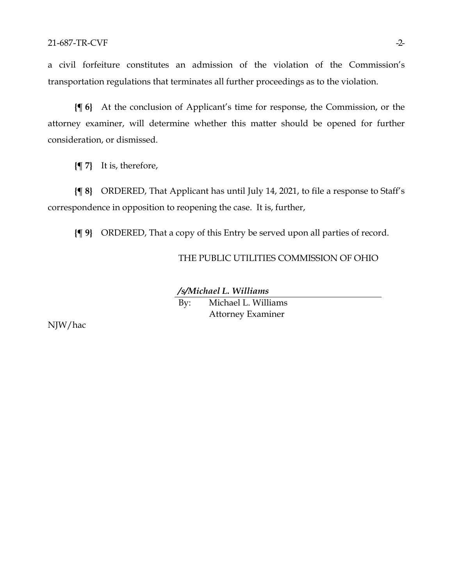a civil forfeiture constitutes an admission of the violation of the Commission's transportation regulations that terminates all further proceedings as to the violation.

**{¶ 6}** At the conclusion of Applicant's time for response, the Commission, or the attorney examiner, will determine whether this matter should be opened for further consideration, or dismissed.

**{¶ 7}** It is, therefore,

**{¶ 8}** ORDERED, That Applicant has until July 14, 2021, to file a response to Staff's correspondence in opposition to reopening the case. It is, further,

**{¶ 9}** ORDERED, That a copy of this Entry be served upon all parties of record.

THE PUBLIC UTILITIES COMMISSION OF OHIO

*/s/Michael L. Williams*

By: Michael L. Williams Attorney Examiner

NJW/hac